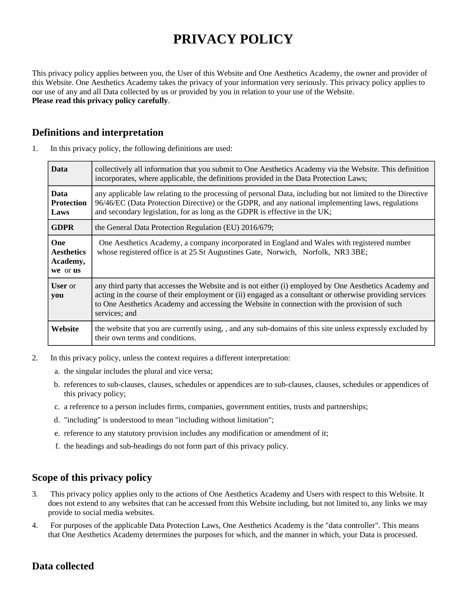# **PRIVACY POLICY**

This privacy policy applies between you, the User of this Website and One Aesthetics Academy, the owner and provider of this Website. One Aesthetics Academy takes the privacy of your information very seriously. This privacy policy applies to our use of any and all Data collected by us or provided by you in relation to your use of the Website. **Please read this privacy policy carefully**.

## **Definitions and interpretation**

| <b>Data</b>                                      | collectively all information that you submit to One Aesthetics Academy via the Website. This definition<br>incorporates, where applicable, the definitions provided in the Data Protection Laws;                                                                                                                                    |
|--------------------------------------------------|-------------------------------------------------------------------------------------------------------------------------------------------------------------------------------------------------------------------------------------------------------------------------------------------------------------------------------------|
| <b>Data</b><br><b>Protection</b><br>Laws         | any applicable law relating to the processing of personal Data, including but not limited to the Directive<br>96/46/EC (Data Protection Directive) or the GDPR, and any national implementing laws, regulations<br>and secondary legislation, for as long as the GDPR is effective in the UK;                                       |
| <b>GDPR</b>                                      | the General Data Protection Regulation (EU) 2016/679;                                                                                                                                                                                                                                                                               |
| One<br><b>Aesthetics</b><br>Academy,<br>we or us | One Aesthetics Academy, a company incorporated in England and Wales with registered number<br>whose registered office is at 25 St Augustines Gate, Norwich, Norfolk, NR3 3BE;                                                                                                                                                       |
| <b>User</b> or<br>you                            | any third party that accesses the Website and is not either (i) employed by One Aesthetics Academy and<br>acting in the course of their employment or (ii) engaged as a consultant or otherwise providing services<br>to One Aesthetics Academy and accessing the Website in connection with the provision of such<br>services; and |
| Website                                          | the website that you are currently using, , and any sub-domains of this site unless expressly excluded by<br>their own terms and conditions.                                                                                                                                                                                        |

1. In this privacy policy, the following definitions are used:

- 2. In this privacy policy, unless the context requires a different interpretation:
	- a. the singular includes the plural and vice versa;
	- b. references to sub-clauses, clauses, schedules or appendices are to sub-clauses, clauses, schedules or appendices of this privacy policy;
	- c. a reference to a person includes firms, companies, government entities, trusts and partnerships;
	- d. "including" is understood to mean "including without limitation";
	- e. reference to any statutory provision includes any modification or amendment of it;
	- f. the headings and sub-headings do not form part of this privacy policy.

## **Scope of this privacy policy**

- 3. This privacy policy applies only to the actions of One Aesthetics Academy and Users with respect to this Website. It does not extend to any websites that can be accessed from this Website including, but not limited to, any links we may provide to social media websites.
- 4. For purposes of the applicable Data Protection Laws, One Aesthetics Academy is the "data controller". This means that One Aesthetics Academy determines the purposes for which, and the manner in which, your Data is processed.

# **Data collected**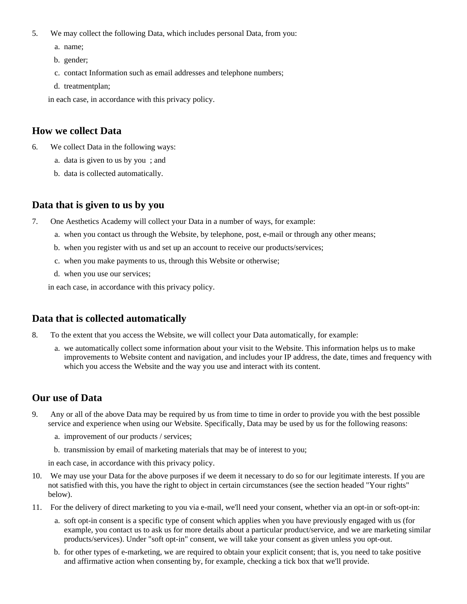- 5. We may collect the following Data, which includes personal Data, from you:
	- a. name;
	- b. gender;
	- c. contact Information such as email addresses and telephone numbers;
	- d. treatmentplan;

in each case, in accordance with this privacy policy.

#### **How we collect Data**

- 6. We collect Data in the following ways:
	- a. data is given to us by you ; and
	- b. data is collected automatically.

## **Data that is given to us by you**

- 7. One Aesthetics Academy will collect your Data in a number of ways, for example:
	- a. when you contact us through the Website, by telephone, post, e-mail or through any other means;
	- b. when you register with us and set up an account to receive our products/services;
	- c. when you make payments to us, through this Website or otherwise;
	- d. when you use our services;

in each case, in accordance with this privacy policy.

## **Data that is collected automatically**

- 8. To the extent that you access the Website, we will collect your Data automatically, for example:
	- a. we automatically collect some information about your visit to the Website. This information helps us to make improvements to Website content and navigation, and includes your IP address, the date, times and frequency with which you access the Website and the way you use and interact with its content.

## **Our use of Data**

- 9. Any or all of the above Data may be required by us from time to time in order to provide you with the best possible service and experience when using our Website. Specifically, Data may be used by us for the following reasons:
	- a. improvement of our products / services;
	- b. transmission by email of marketing materials that may be of interest to you;

in each case, in accordance with this privacy policy.

- 10. We may use your Data for the above purposes if we deem it necessary to do so for our legitimate interests. If you are not satisfied with this, you have the right to object in certain circumstances (see the section headed "Your rights" below).
- 11. For the delivery of direct marketing to you via e-mail, we'll need your consent, whether via an opt-in or soft-opt-in:
	- a. soft opt-in consent is a specific type of consent which applies when you have previously engaged with us (for example, you contact us to ask us for more details about a particular product/service, and we are marketing similar products/services). Under "soft opt-in" consent, we will take your consent as given unless you opt-out.
	- b. for other types of e-marketing, we are required to obtain your explicit consent; that is, you need to take positive and affirmative action when consenting by, for example, checking a tick box that we'll provide.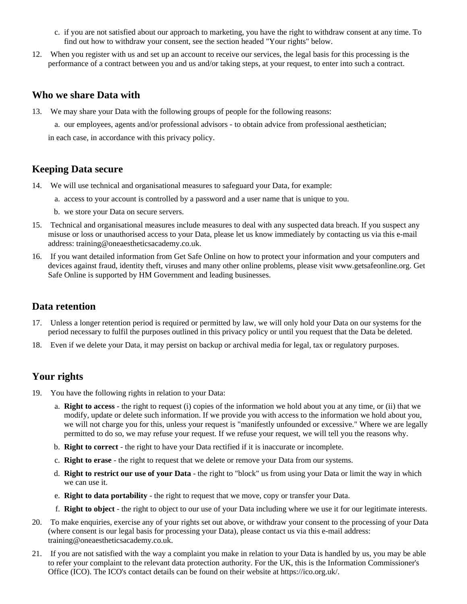- c. if you are not satisfied about our approach to marketing, you have the right to withdraw consent at any time. To find out how to withdraw your consent, see the section headed "Your rights" below.
- 12. When you register with us and set up an account to receive our services, the legal basis for this processing is the performance of a contract between you and us and/or taking steps, at your request, to enter into such a contract.

#### **Who we share Data with**

13. We may share your Data with the following groups of people for the following reasons:

a. our employees, agents and/or professional advisors - to obtain advice from professional aesthetician;

in each case, in accordance with this privacy policy.

## **Keeping Data secure**

- 14. We will use technical and organisational measures to safeguard your Data, for example:
	- a. access to your account is controlled by a password and a user name that is unique to you.
	- b. we store your Data on secure servers.
- 15. Technical and organisational measures include measures to deal with any suspected data breach. If you suspect any misuse or loss or unauthorised access to your Data, please let us know immediately by contacting us via this e-mail address: training@oneaestheticsacademy.co.uk.
- 16. If you want detailed information from Get Safe Online on how to protect your information and your computers and devices against fraud, identity theft, viruses and many other online problems, please visit www.getsafeonline.org. Get Safe Online is supported by HM Government and leading businesses.

#### **Data retention**

- 17. Unless a longer retention period is required or permitted by law, we will only hold your Data on our systems for the period necessary to fulfil the purposes outlined in this privacy policy or until you request that the Data be deleted.
- 18. Even if we delete your Data, it may persist on backup or archival media for legal, tax or regulatory purposes.

# **Your rights**

- 19. You have the following rights in relation to your Data:
	- a. **Right to access** the right to request (i) copies of the information we hold about you at any time, or (ii) that we modify, update or delete such information. If we provide you with access to the information we hold about you, we will not charge you for this, unless your request is "manifestly unfounded or excessive." Where we are legally permitted to do so, we may refuse your request. If we refuse your request, we will tell you the reasons why.
	- b. **Right to correct** the right to have your Data rectified if it is inaccurate or incomplete.
	- c. **Right to erase** the right to request that we delete or remove your Data from our systems.
	- d. **Right to restrict our use of your Data** the right to "block" us from using your Data or limit the way in which we can use it.
	- e. **Right to data portability** the right to request that we move, copy or transfer your Data.
	- f. **Right to object** the right to object to our use of your Data including where we use it for our legitimate interests.
- 20. To make enquiries, exercise any of your rights set out above, or withdraw your consent to the processing of your Data (where consent is our legal basis for processing your Data), please contact us via this e-mail address: training@oneaestheticsacademy.co.uk.
- 21. If you are not satisfied with the way a complaint you make in relation to your Data is handled by us, you may be able to refer your complaint to the relevant data protection authority. For the UK, this is the Information Commissioner's Office (ICO). The ICO's contact details can be found on their website at https://ico.org.uk/.